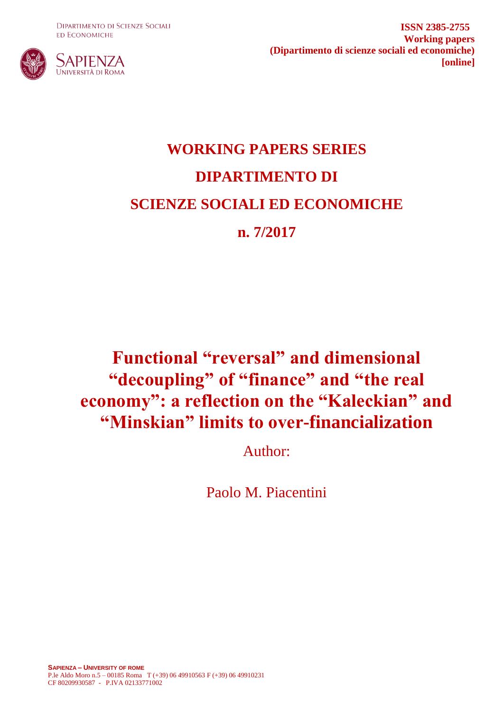**DIPARTIMENTO DI SCIENZE SOCIALI ED ECONOMICHE** 



**ISSN 2385-2755 Working papers (Dipartimento di scienze sociali ed economiche) [online]**

# **WORKING PAPERS SERIES DIPARTIMENTO DI SCIENZE SOCIALI ED ECONOMICHE n. 7/2017**

## **Functional "reversal" and dimensional "decoupling" of "finance" and "the real economy": a reflection on the "Kaleckian" and "Minskian" limits to over-financialization**

Author:

Paolo M. Piacentini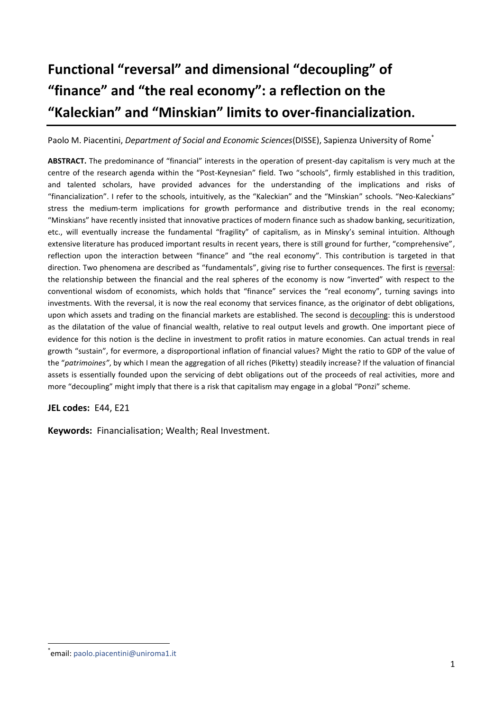## **Functional "reversal" and dimensional "decoupling" of "finance" and "the real economy": a reflection on the "Kaleckian" and "Minskian" limits to over-financialization.**

Paolo M. Piacentini, *Department of Social and Economic Sciences*(DISSE), Sapienza University of Rome\*

**ABSTRACT.** The predominance of "financial" interests in the operation of present-day capitalism is very much at the centre of the research agenda within the "Post-Keynesian" field. Two "schools", firmly established in this tradition, and talented scholars, have provided advances for the understanding of the implications and risks of "financialization". I refer to the schools, intuitively, as the "Kaleckian" and the "Minskian" schools. "Neo-Kaleckians" stress the medium-term implications for growth performance and distributive trends in the real economy; "Minskians" have recently insisted that innovative practices of modern finance such as shadow banking, securitization, etc., will eventually increase the fundamental "fragility" of capitalism, as in Minsky's seminal intuition. Although extensive literature has produced important results in recent years, there is still ground for further, "comprehensive", reflection upon the interaction between "finance" and "the real economy". This contribution is targeted in that direction. Two phenomena are described as "fundamentals", giving rise to further consequences. The first is reversal: the relationship between the financial and the real spheres of the economy is now "inverted" with respect to the conventional wisdom of economists, which holds that "finance" services the "real economy", turning savings into investments. With the reversal, it is now the real economy that services finance, as the originator of debt obligations, upon which assets and trading on the financial markets are established. The second is decoupling: this is understood as the dilatation of the value of financial wealth, relative to real output levels and growth. One important piece of evidence for this notion is the decline in investment to profit ratios in mature economies. Can actual trends in real growth "sustain", for evermore, a disproportional inflation of financial values? Might the ratio to GDP of the value of the "*patrimoines"*, by which I mean the aggregation of all riches (Piketty) steadily increase? If the valuation of financial assets is essentially founded upon the servicing of debt obligations out of the proceeds of real activities, more and more "decoupling" might imply that there is a risk that capitalism may engage in a global "Ponzi" scheme.

## **JEL codes:** E44, E21

**Keywords:** Financialisation; Wealth; Real Investment.

<sup>\*</sup> email: [paolo.piacentini@uniroma1.it](mailto:paolo.piacentini@uniroma1.it)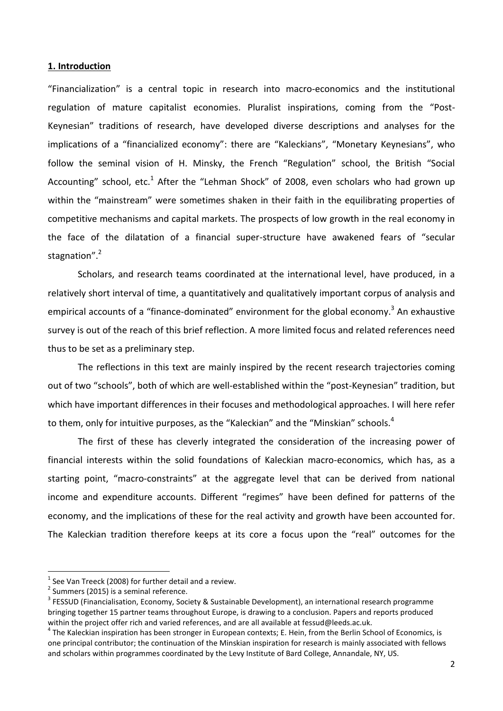#### **1. Introduction**

"Financialization" is a central topic in research into macro-economics and the institutional regulation of mature capitalist economies. Pluralist inspirations, coming from the "Post-Keynesian" traditions of research, have developed diverse descriptions and analyses for the implications of a "financialized economy": there are "Kaleckians", "Monetary Keynesians", who follow the seminal vision of H. Minsky, the French "Regulation" school, the British "Social Accounting" school, etc.<sup>1</sup> After the "Lehman Shock" of 2008, even scholars who had grown up within the "mainstream" were sometimes shaken in their faith in the equilibrating properties of competitive mechanisms and capital markets. The prospects of low growth in the real economy in the face of the dilatation of a financial super-structure have awakened fears of "secular stagnation".<sup>2</sup>

Scholars, and research teams coordinated at the international level, have produced, in a relatively short interval of time, a quantitatively and qualitatively important corpus of analysis and empirical accounts of a "finance-dominated" environment for the global economy.<sup>3</sup> An exhaustive survey is out of the reach of this brief reflection. A more limited focus and related references need thus to be set as a preliminary step.

The reflections in this text are mainly inspired by the recent research trajectories coming out of two "schools", both of which are well-established within the "post-Keynesian" tradition, but which have important differences in their focuses and methodological approaches. I will here refer to them, only for intuitive purposes, as the "Kaleckian" and the "Minskian" schools.<sup>4</sup>

The first of these has cleverly integrated the consideration of the increasing power of financial interests within the solid foundations of Kaleckian macro-economics, which has, as a starting point, "macro-constraints" at the aggregate level that can be derived from national income and expenditure accounts. Different "regimes" have been defined for patterns of the economy, and the implications of these for the real activity and growth have been accounted for. The Kaleckian tradition therefore keeps at its core a focus upon the "real" outcomes for the

 $<sup>1</sup>$  See Van Treeck (2008) for further detail and a review.</sup>

 $2$  Summers (2015) is a seminal reference.

<sup>&</sup>lt;sup>3</sup> FESSUD (Financialisation, Economy, Society & Sustainable Development), an international research programme bringing together 15 partner teams throughout Europe, is drawing to a conclusion. Papers and reports produced within the project offer rich and varied references, and are all available at fessud@leeds.ac.uk.

<sup>&</sup>lt;sup>4</sup> The Kaleckian inspiration has been stronger in European contexts; E. Hein, from the Berlin School of Economics, is one principal contributor; the continuation of the Minskian inspiration for research is mainly associated with fellows and scholars within programmes coordinated by the Levy Institute of Bard College, Annandale, NY, US.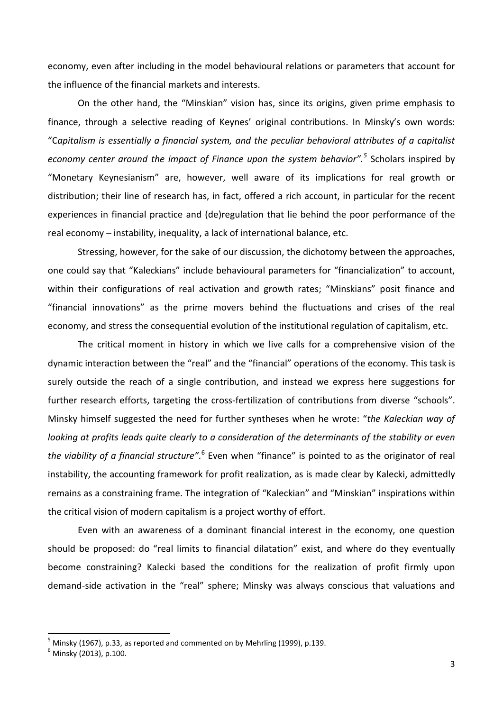economy, even after including in the model behavioural relations or parameters that account for the influence of the financial markets and interests.

On the other hand, the "Minskian" vision has, since its origins, given prime emphasis to finance, through a selective reading of Keynes' original contributions. In Minsky's own words: "C*apitalism is essentially a financial system, and the peculiar behavioral attributes of a capitalist economy center around the impact of Finance upon the system behavior".<sup>5</sup>* Scholars inspired by "Monetary Keynesianism" are, however, well aware of its implications for real growth or distribution; their line of research has, in fact, offered a rich account, in particular for the recent experiences in financial practice and (de)regulation that lie behind the poor performance of the real economy – instability, inequality, a lack of international balance, etc.

Stressing, however, for the sake of our discussion, the dichotomy between the approaches, one could say that "Kaleckians" include behavioural parameters for "financialization" to account, within their configurations of real activation and growth rates; "Minskians" posit finance and "financial innovations" as the prime movers behind the fluctuations and crises of the real economy, and stress the consequential evolution of the institutional regulation of capitalism, etc.

The critical moment in history in which we live calls for a comprehensive vision of the dynamic interaction between the "real" and the "financial" operations of the economy. This task is surely outside the reach of a single contribution, and instead we express here suggestions for further research efforts, targeting the cross-fertilization of contributions from diverse "schools". Minsky himself suggested the need for further syntheses when he wrote: "*the Kaleckian way of looking at profits leads quite clearly to a consideration of the determinants of the stability or even*  the viability of a financial structure".<sup>6</sup> Even when "finance" is pointed to as the originator of real instability, the accounting framework for profit realization, as is made clear by Kalecki, admittedly remains as a constraining frame. The integration of "Kaleckian" and "Minskian" inspirations within the critical vision of modern capitalism is a project worthy of effort.

Even with an awareness of a dominant financial interest in the economy, one question should be proposed: do "real limits to financial dilatation" exist, and where do they eventually become constraining? Kalecki based the conditions for the realization of profit firmly upon demand-side activation in the "real" sphere; Minsky was always conscious that valuations and

1

<sup>5</sup> Minsky (1967), p.33, as reported and commented on by Mehrling (1999), p.139.

 $<sup>6</sup>$  Minsky (2013), p.100.</sup>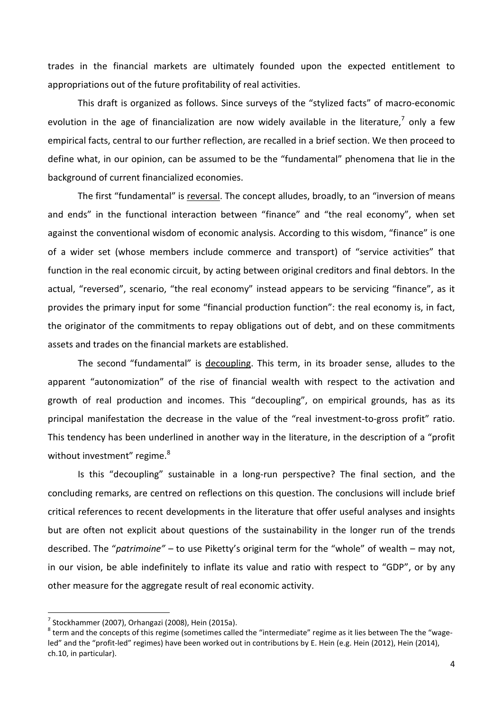trades in the financial markets are ultimately founded upon the expected entitlement to appropriations out of the future profitability of real activities.

This draft is organized as follows. Since surveys of the "stylized facts" of macro-economic evolution in the age of financialization are now widely available in the literature,<sup>7</sup> only a few empirical facts, central to our further reflection, are recalled in a brief section. We then proceed to define what, in our opinion, can be assumed to be the "fundamental" phenomena that lie in the background of current financialized economies.

The first "fundamental" is reversal. The concept alludes, broadly, to an "inversion of means and ends" in the functional interaction between "finance" and "the real economy", when set against the conventional wisdom of economic analysis. According to this wisdom, "finance" is one of a wider set (whose members include commerce and transport) of "service activities" that function in the real economic circuit, by acting between original creditors and final debtors. In the actual, "reversed", scenario, "the real economy" instead appears to be servicing "finance", as it provides the primary input for some "financial production function": the real economy is, in fact, the originator of the commitments to repay obligations out of debt, and on these commitments assets and trades on the financial markets are established.

The second "fundamental" is decoupling. This term, in its broader sense, alludes to the apparent "autonomization" of the rise of financial wealth with respect to the activation and growth of real production and incomes. This "decoupling", on empirical grounds, has as its principal manifestation the decrease in the value of the "real investment-to-gross profit" ratio. This tendency has been underlined in another way in the literature, in the description of a "profit without investment" regime.<sup>8</sup>

Is this "decoupling" sustainable in a long-run perspective? The final section, and the concluding remarks, are centred on reflections on this question. The conclusions will include brief critical references to recent developments in the literature that offer useful analyses and insights but are often not explicit about questions of the sustainability in the longer run of the trends described. The "*patrimoine" –* to use Piketty's original term for the "whole" of wealth – may not, in our vision, be able indefinitely to inflate its value and ratio with respect to "GDP", or by any other measure for the aggregate result of real economic activity.

<sup>&</sup>lt;sup>7</sup> Stockhammer (2007), Orhangazi (2008), Hein (2015a).

 $^8$  term and the concepts of this regime (sometimes called the "intermediate" regime as it lies between The the "wageled" and the "profit-led" regimes) have been worked out in contributions by E. Hein (e.g. Hein (2012), Hein (2014), ch.10, in particular).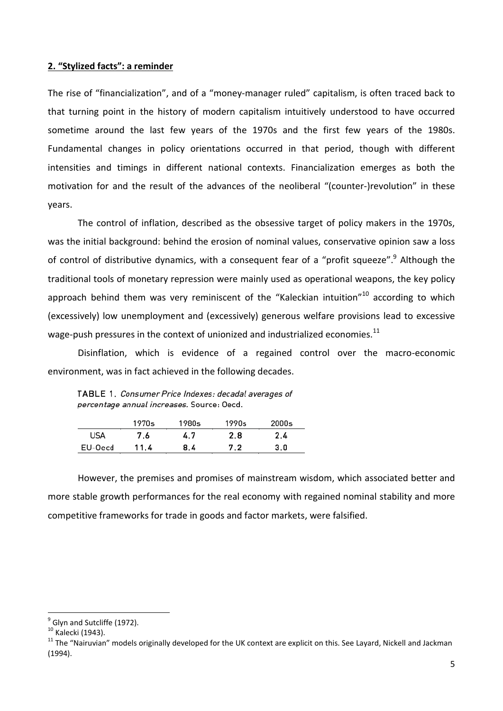### **2. "Stylized facts": a reminder**

The rise of "financialization", and of a "money-manager ruled" capitalism, is often traced back to that turning point in the history of modern capitalism intuitively understood to have occurred sometime around the last few years of the 1970s and the first few years of the 1980s. Fundamental changes in policy orientations occurred in that period, though with different intensities and timings in different national contexts. Financialization emerges as both the motivation for and the result of the advances of the neoliberal "(counter-)revolution" in these years.

The control of inflation, described as the obsessive target of policy makers in the 1970s, was the initial background: behind the erosion of nominal values, conservative opinion saw a loss of control of distributive dynamics, with a consequent fear of a "profit squeeze".<sup>9</sup> Although the traditional tools of monetary repression were mainly used as operational weapons, the key policy approach behind them was very reminiscent of the "Kaleckian intuition"<sup>10</sup> according to which (excessively) low unemployment and (excessively) generous welfare provisions lead to excessive wage-push pressures in the context of unionized and industrialized economies.<sup>11</sup>

Disinflation, which is evidence of a regained control over the macro-economic environment, was in fact achieved in the following decades.

| <i>percentage annual increases.</i> Source: Oecd. |       |       |       |       |  |  |
|---------------------------------------------------|-------|-------|-------|-------|--|--|
|                                                   | 1970s | 1980s | 1990s | 2000s |  |  |

TABLE 1. Consumer Price Indexes: decadal averages of

|         | 1970s | 1980s | 1990s | 2000s |
|---------|-------|-------|-------|-------|
| USA     | 7.6   | 4.7   | 2.8   | 2.4   |
| EU-0ecd | 11.4  | 8.4   | 7.2   | 3.0   |

However, the premises and promises of mainstream wisdom, which associated better and more stable growth performances for the real economy with regained nominal stability and more competitive frameworks for trade in goods and factor markets, were falsified.

<sup>&</sup>lt;sup>9</sup> Glyn and Sutcliffe (1972).

 $10$  Kalecki (1943).

 $11$  The "Nairuvian" models originally developed for the UK context are explicit on this. See Layard, Nickell and Jackman (1994).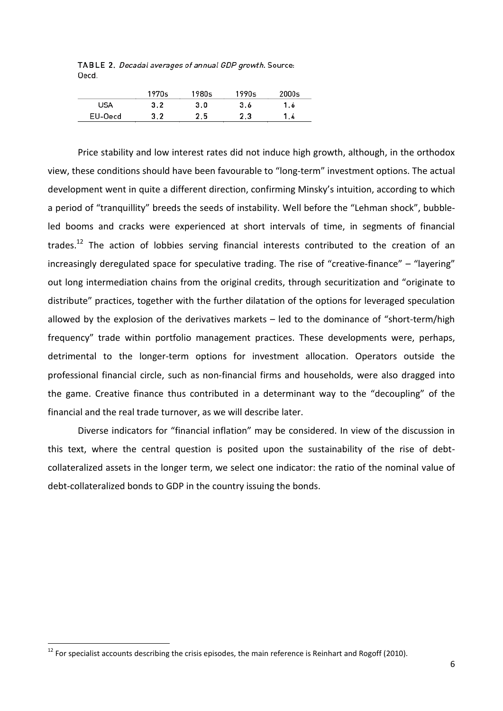TABLE 2. Decadal averages of annual GDP growth. Source: Oecd.

|         | 1970s | 1980s | 1990s | 2000s |
|---------|-------|-------|-------|-------|
| USA     | 3.2   | 3.0   | 3.6   | 1.6   |
| EU-0ecd | 3.2   | 2.5   | 2.3   | .4    |

Price stability and low interest rates did not induce high growth, although, in the orthodox view, these conditions should have been favourable to "long-term" investment options. The actual development went in quite a different direction, confirming Minsky's intuition, according to which a period of "tranquillity" breeds the seeds of instability. Well before the "Lehman shock", bubbleled booms and cracks were experienced at short intervals of time, in segments of financial trades.<sup>12</sup> The action of lobbies serving financial interests contributed to the creation of an increasingly deregulated space for speculative trading. The rise of "creative-finance" – "layering" out long intermediation chains from the original credits, through securitization and "originate to distribute" practices, together with the further dilatation of the options for leveraged speculation allowed by the explosion of the derivatives markets – led to the dominance of "short-term/high frequency" trade within portfolio management practices. These developments were, perhaps, detrimental to the longer-term options for investment allocation. Operators outside the professional financial circle, such as non-financial firms and households, were also dragged into the game. Creative finance thus contributed in a determinant way to the "decoupling" of the financial and the real trade turnover, as we will describe later.

Diverse indicators for "financial inflation" may be considered. In view of the discussion in this text, where the central question is posited upon the sustainability of the rise of debtcollateralized assets in the longer term, we select one indicator: the ratio of the nominal value of debt-collateralized bonds to GDP in the country issuing the bonds.

 $12$  For specialist accounts describing the crisis episodes, the main reference is Reinhart and Rogoff (2010).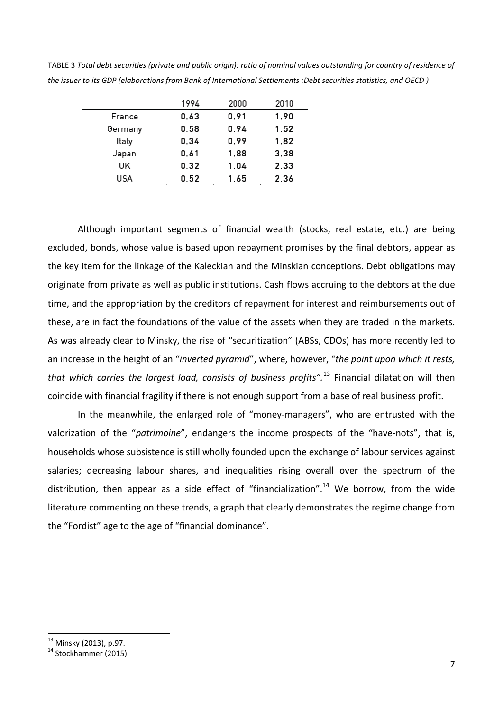TABLE 3 *Total debt securities (private and public origin): ratio of nominal values outstanding for country of residence of the issuer to its GDP (elaborations from Bank of International Settlements :Debt securities statistics, and OECD )* 

|         | 1994 | 2000 | 2010 |
|---------|------|------|------|
| France  | 0.63 | 0.91 | 1.90 |
| Germany | 0.58 | 0.94 | 1.52 |
| Italy   | 0.34 | 0.99 | 1.82 |
| Japan   | 0.61 | 1.88 | 3.38 |
| UK      | 0.32 | 1.04 | 2.33 |
| USA     | 0.52 | 1.65 | 2.36 |

Although important segments of financial wealth (stocks, real estate, etc.) are being excluded, bonds, whose value is based upon repayment promises by the final debtors, appear as the key item for the linkage of the Kaleckian and the Minskian conceptions. Debt obligations may originate from private as well as public institutions. Cash flows accruing to the debtors at the due time, and the appropriation by the creditors of repayment for interest and reimbursements out of these, are in fact the foundations of the value of the assets when they are traded in the markets. As was already clear to Minsky, the rise of "securitization" (ABSs, CDOs) has more recently led to an increase in the height of an "*inverted pyramid*", where, however, "*the point upon which it rests, that which carries the largest load, consists of business profits".*<sup>13</sup> Financial dilatation will then coincide with financial fragility if there is not enough support from a base of real business profit.

In the meanwhile, the enlarged role of "money-managers", who are entrusted with the valorization of the "*patrimoine*", endangers the income prospects of the "have-nots", that is, households whose subsistence is still wholly founded upon the exchange of labour services against salaries; decreasing labour shares, and inequalities rising overall over the spectrum of the distribution, then appear as a side effect of "financialization".<sup>14</sup> We borrow, from the wide literature commenting on these trends, a graph that clearly demonstrates the regime change from the "Fordist" age to the age of "financial dominance".

1

<sup>&</sup>lt;sup>13</sup> Minsky (2013), p.97.

<sup>&</sup>lt;sup>14</sup> Stockhammer (2015).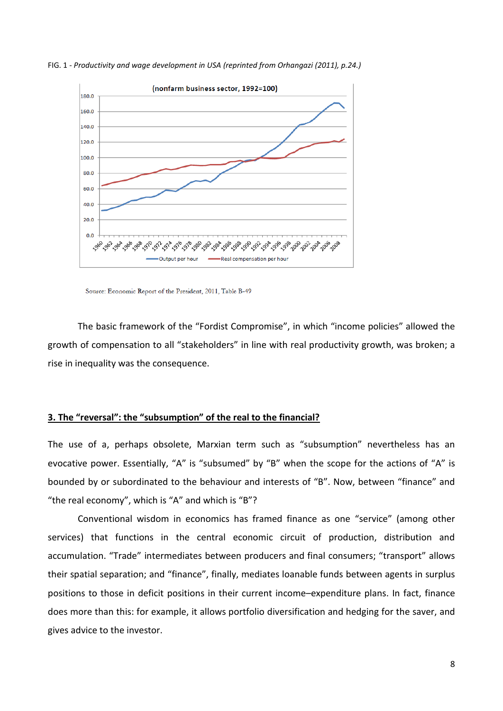

FIG. 1 - *Productivity and wage development in USA (reprinted from Orhangazi (2011), p.24.)*

Source: Economic Report of the President, 2011, Table B-49

The basic framework of the "Fordist Compromise", in which "income policies" allowed the growth of compensation to all "stakeholders" in line with real productivity growth, was broken; a rise in inequality was the consequence.

## **3. The "reversal": the "subsumption" of the real to the financial?**

The use of a, perhaps obsolete, Marxian term such as "subsumption" nevertheless has an evocative power. Essentially, "A" is "subsumed" by "B" when the scope for the actions of "A" is bounded by or subordinated to the behaviour and interests of "B". Now, between "finance" and "the real economy", which is "A" and which is "B"?

Conventional wisdom in economics has framed finance as one "service" (among other services) that functions in the central economic circuit of production, distribution and accumulation. "Trade" intermediates between producers and final consumers; "transport" allows their spatial separation; and "finance", finally, mediates loanable funds between agents in surplus positions to those in deficit positions in their current income–expenditure plans. In fact, finance does more than this: for example, it allows portfolio diversification and hedging for the saver, and gives advice to the investor.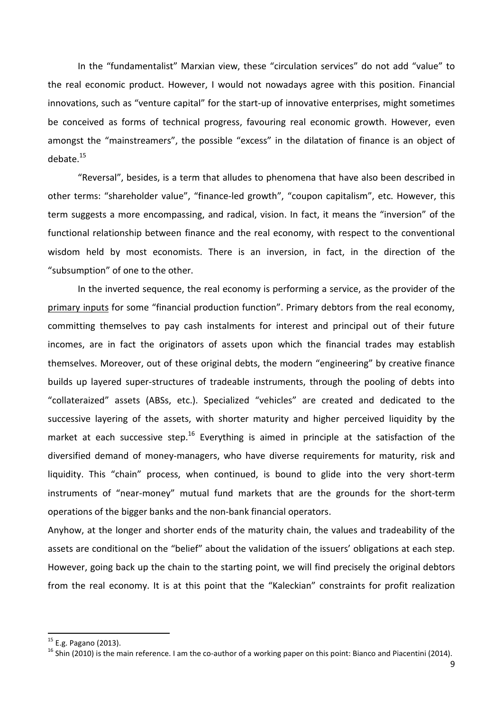In the "fundamentalist" Marxian view, these "circulation services" do not add "value" to the real economic product. However, I would not nowadays agree with this position. Financial innovations, such as "venture capital" for the start-up of innovative enterprises, might sometimes be conceived as forms of technical progress, favouring real economic growth. However, even amongst the "mainstreamers", the possible "excess" in the dilatation of finance is an object of debate.<sup>15</sup>

"Reversal", besides, is a term that alludes to phenomena that have also been described in other terms: "shareholder value", "finance-led growth", "coupon capitalism", etc. However, this term suggests a more encompassing, and radical, vision. In fact, it means the "inversion" of the functional relationship between finance and the real economy, with respect to the conventional wisdom held by most economists. There is an inversion, in fact, in the direction of the "subsumption" of one to the other.

In the inverted sequence, the real economy is performing a service, as the provider of the primary inputs for some "financial production function". Primary debtors from the real economy, committing themselves to pay cash instalments for interest and principal out of their future incomes, are in fact the originators of assets upon which the financial trades may establish themselves. Moreover, out of these original debts, the modern "engineering" by creative finance builds up layered super-structures of tradeable instruments, through the pooling of debts into "collateraized" assets (ABSs, etc.). Specialized "vehicles" are created and dedicated to the successive layering of the assets, with shorter maturity and higher perceived liquidity by the market at each successive step.<sup>16</sup> Everything is aimed in principle at the satisfaction of the diversified demand of money-managers, who have diverse requirements for maturity, risk and liquidity. This "chain" process, when continued, is bound to glide into the very short-term instruments of "near-money" mutual fund markets that are the grounds for the short-term operations of the bigger banks and the non-bank financial operators.

Anyhow, at the longer and shorter ends of the maturity chain, the values and tradeability of the assets are conditional on the "belief" about the validation of the issuers' obligations at each step. However, going back up the chain to the starting point, we will find precisely the original debtors from the real economy. It is at this point that the "Kaleckian" constraints for profit realization

1

<sup>&</sup>lt;sup>15</sup> E.g. Pagano (2013).

 $16$  Shin (2010) is the main reference. I am the co-author of a working paper on this point: Bianco and Piacentini (2014).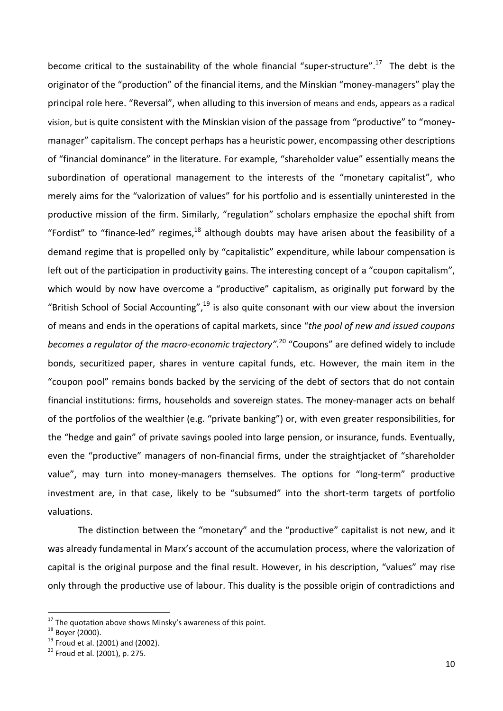become critical to the sustainability of the whole financial "super-structure".<sup>17</sup> The debt is the originator of the "production" of the financial items, and the Minskian "money-managers" play the principal role here. "Reversal", when alluding to this inversion of means and ends, appears as a radical vision, but is quite consistent with the Minskian vision of the passage from "productive" to "moneymanager" capitalism. The concept perhaps has a heuristic power, encompassing other descriptions of "financial dominance" in the literature. For example, "shareholder value" essentially means the subordination of operational management to the interests of the "monetary capitalist", who merely aims for the "valorization of values" for his portfolio and is essentially uninterested in the productive mission of the firm. Similarly, "regulation" scholars emphasize the epochal shift from "Fordist" to "finance-led" regimes,<sup>18</sup> although doubts may have arisen about the feasibility of a demand regime that is propelled only by "capitalistic" expenditure, while labour compensation is left out of the participation in productivity gains. The interesting concept of a "coupon capitalism", which would by now have overcome a "productive" capitalism, as originally put forward by the "British School of Social Accounting",<sup>19</sup> is also quite consonant with our view about the inversion of means and ends in the operations of capital markets, since "*the pool of new and issued coupons becomes a regulator of the macro-economic trajectory".* <sup>20</sup> "Coupons" are defined widely to include bonds, securitized paper, shares in venture capital funds, etc. However, the main item in the "coupon pool" remains bonds backed by the servicing of the debt of sectors that do not contain financial institutions: firms, households and sovereign states. The money-manager acts on behalf of the portfolios of the wealthier (e.g. "private banking") or, with even greater responsibilities, for the "hedge and gain" of private savings pooled into large pension, or insurance, funds. Eventually, even the "productive" managers of non-financial firms, under the straightjacket of "shareholder value", may turn into money-managers themselves. The options for "long-term" productive investment are, in that case, likely to be "subsumed" into the short-term targets of portfolio valuations.

The distinction between the "monetary" and the "productive" capitalist is not new, and it was already fundamental in Marx's account of the accumulation process, where the valorization of capital is the original purpose and the final result. However, in his description, "values" may rise only through the productive use of labour. This duality is the possible origin of contradictions and

 $17$  The quotation above shows Minsky's awareness of this point.

<sup>&</sup>lt;sup>18</sup> Boyer (2000).

 $19$  Froud et al. (2001) and (2002).

 $20$  Froud et al. (2001), p. 275.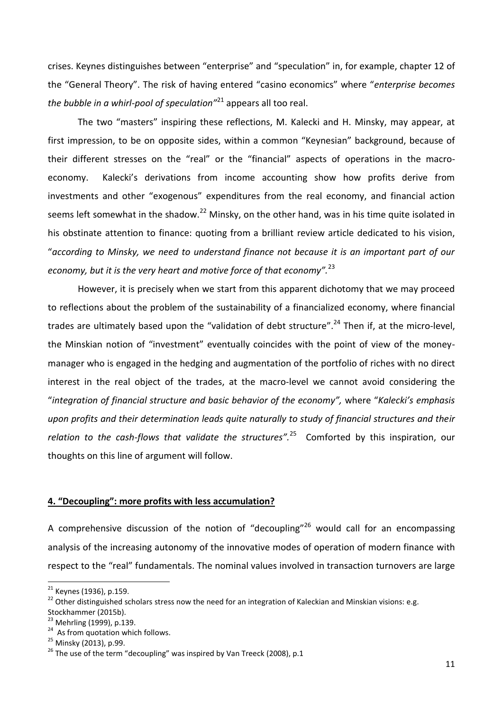crises. Keynes distinguishes between "enterprise" and "speculation" in, for example, chapter 12 of the "General Theory". The risk of having entered "casino economics" where "*enterprise becomes the bubble in a whirl-pool of speculation"*<sup>21</sup> appears all too real.

The two "masters" inspiring these reflections, M. Kalecki and H. Minsky, may appear, at first impression, to be on opposite sides, within a common "Keynesian" background, because of their different stresses on the "real" or the "financial" aspects of operations in the macroeconomy. Kalecki's derivations from income accounting show how profits derive from investments and other "exogenous" expenditures from the real economy, and financial action seems left somewhat in the shadow.<sup>22</sup> Minsky, on the other hand, was in his time quite isolated in his obstinate attention to finance: quoting from a brilliant review article dedicated to his vision, "*according to Minsky, we need to understand finance not because it is an important part of our economy, but it is the very heart and motive force of that economy".*<sup>23</sup>

However, it is precisely when we start from this apparent dichotomy that we may proceed to reflections about the problem of the sustainability of a financialized economy, where financial trades are ultimately based upon the "validation of debt structure".<sup>24</sup> Then if, at the micro-level, the Minskian notion of "investment" eventually coincides with the point of view of the moneymanager who is engaged in the hedging and augmentation of the portfolio of riches with no direct interest in the real object of the trades, at the macro-level we cannot avoid considering the "*integration of financial structure and basic behavior of the economy",* where "*Kalecki's emphasis upon profits and their determination leads quite naturally to study of financial structures and their relation to the cash-flows that validate the structures".*<sup>25</sup> Comforted by this inspiration, our thoughts on this line of argument will follow.

## **4. "Decoupling": more profits with less accumulation?**

A comprehensive discussion of the notion of "decoupling"<sup>26</sup> would call for an encompassing analysis of the increasing autonomy of the innovative modes of operation of modern finance with respect to the "real" fundamentals. The nominal values involved in transaction turnovers are large

1

<sup>&</sup>lt;sup>21</sup> Keynes (1936), p.159.

<sup>22</sup> Other distinguished scholars stress now the need for an integration of Kaleckian and Minskian visions: e.g. Stockhammer (2015b).

<sup>&</sup>lt;sup>23</sup> Mehrling (1999), p.139.

<sup>&</sup>lt;sup>24</sup> As from quotation which follows.

<sup>25</sup> Minsky (2013), p.99.

 $26$  The use of the term "decoupling" was inspired by Van Treeck (2008), p.1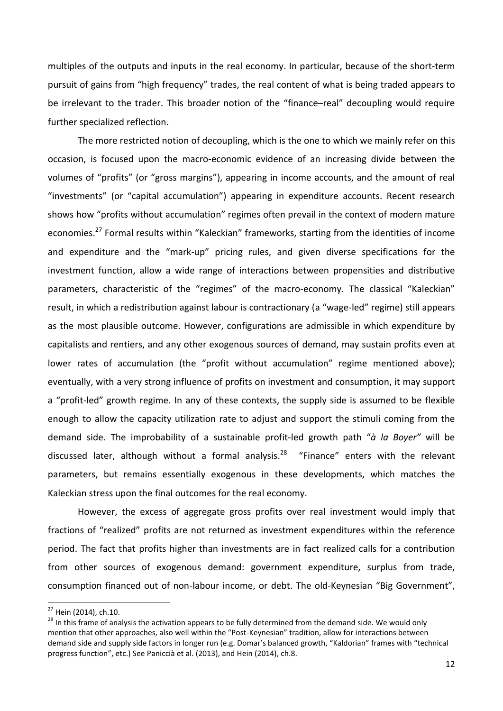multiples of the outputs and inputs in the real economy. In particular, because of the short-term pursuit of gains from "high frequency" trades, the real content of what is being traded appears to be irrelevant to the trader. This broader notion of the "finance–real" decoupling would require further specialized reflection.

The more restricted notion of decoupling, which is the one to which we mainly refer on this occasion, is focused upon the macro-economic evidence of an increasing divide between the volumes of "profits" (or "gross margins"), appearing in income accounts, and the amount of real "investments" (or "capital accumulation") appearing in expenditure accounts. Recent research shows how "profits without accumulation" regimes often prevail in the context of modern mature economies.<sup>27</sup> Formal results within "Kaleckian" frameworks, starting from the identities of income and expenditure and the "mark-up" pricing rules, and given diverse specifications for the investment function, allow a wide range of interactions between propensities and distributive parameters, characteristic of the "regimes" of the macro-economy. The classical "Kaleckian" result, in which a redistribution against labour is contractionary (a "wage-led" regime) still appears as the most plausible outcome. However, configurations are admissible in which expenditure by capitalists and rentiers, and any other exogenous sources of demand, may sustain profits even at lower rates of accumulation (the "profit without accumulation" regime mentioned above); eventually, with a very strong influence of profits on investment and consumption, it may support a "profit-led" growth regime. In any of these contexts, the supply side is assumed to be flexible enough to allow the capacity utilization rate to adjust and support the stimuli coming from the demand side. The improbability of a sustainable profit-led growth path "*à la Boyer"* will be discussed later, although without a formal analysis.<sup>28</sup> "Finance" enters with the relevant parameters, but remains essentially exogenous in these developments, which matches the Kaleckian stress upon the final outcomes for the real economy.

However, the excess of aggregate gross profits over real investment would imply that fractions of "realized" profits are not returned as investment expenditures within the reference period. The fact that profits higher than investments are in fact realized calls for a contribution from other sources of exogenous demand: government expenditure, surplus from trade, consumption financed out of non-labour income, or debt. The old-Keynesian "Big Government",

<sup>27</sup> Hein (2014), ch.10.

<sup>&</sup>lt;sup>28</sup> In this frame of analysis the activation appears to be fully determined from the demand side. We would only mention that other approaches, also well within the "Post-Keynesian" tradition, allow for interactions between demand side and supply side factors in longer run (e.g. Domar's balanced growth, "Kaldorian" frames with "technical progress function", etc.) See Paniccià et al. (2013), and Hein (2014), ch.8.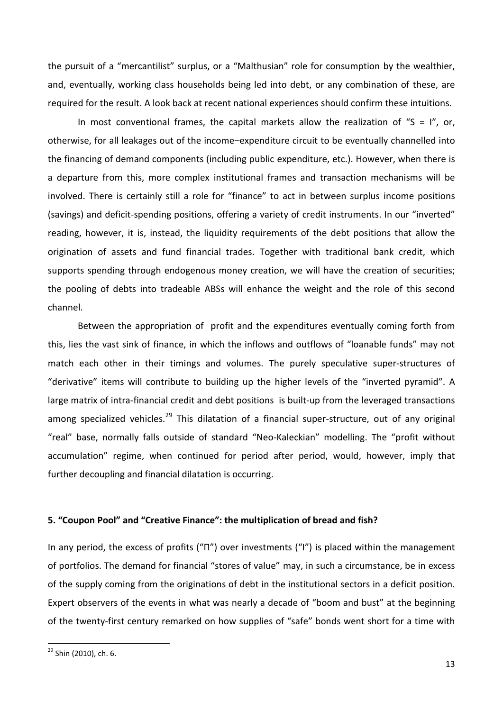the pursuit of a "mercantilist" surplus, or a "Malthusian" role for consumption by the wealthier, and, eventually, working class households being led into debt, or any combination of these, are required for the result. A look back at recent national experiences should confirm these intuitions.

In most conventional frames, the capital markets allow the realization of "S = I", or, otherwise, for all leakages out of the income–expenditure circuit to be eventually channelled into the financing of demand components (including public expenditure, etc.). However, when there is a departure from this, more complex institutional frames and transaction mechanisms will be involved. There is certainly still a role for "finance" to act in between surplus income positions (savings) and deficit-spending positions, offering a variety of credit instruments. In our "inverted" reading, however, it is, instead, the liquidity requirements of the debt positions that allow the origination of assets and fund financial trades. Together with traditional bank credit, which supports spending through endogenous money creation, we will have the creation of securities; the pooling of debts into tradeable ABSs will enhance the weight and the role of this second channel.

Between the appropriation of profit and the expenditures eventually coming forth from this, lies the vast sink of finance, in which the inflows and outflows of "loanable funds" may not match each other in their timings and volumes. The purely speculative super-structures of "derivative" items will contribute to building up the higher levels of the "inverted pyramid". A large matrix of intra-financial credit and debt positions is built-up from the leveraged transactions among specialized vehicles.<sup>29</sup> This dilatation of a financial super-structure, out of any original "real" base, normally falls outside of standard "Neo-Kaleckian" modelling. The "profit without accumulation" regime, when continued for period after period, would, however, imply that further decoupling and financial dilatation is occurring.

### **5. "Coupon Pool" and "Creative Finance": the multiplication of bread and fish?**

In any period, the excess of profits ("Π") over investments ("I") is placed within the management of portfolios. The demand for financial "stores of value" may, in such a circumstance, be in excess of the supply coming from the originations of debt in the institutional sectors in a deficit position. Expert observers of the events in what was nearly a decade of "boom and bust" at the beginning of the twenty-first century remarked on how supplies of "safe" bonds went short for a time with

<sup>&</sup>lt;sup>29</sup> Shin (2010), ch. 6.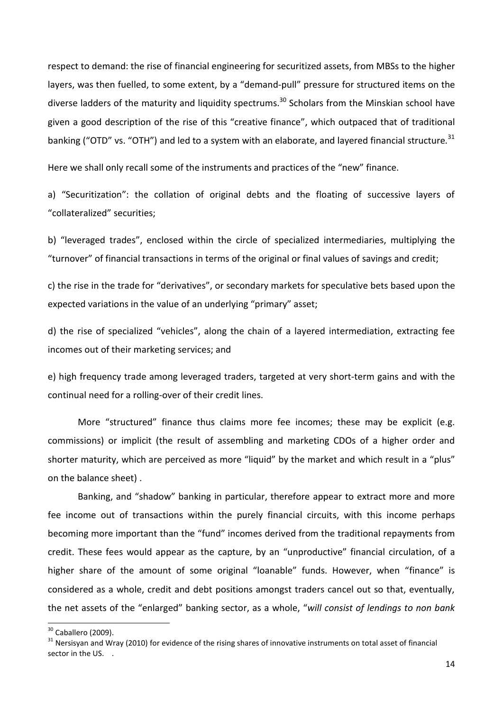respect to demand: the rise of financial engineering for securitized assets, from MBSs to the higher layers, was then fuelled, to some extent, by a "demand-pull" pressure for structured items on the diverse ladders of the maturity and liquidity spectrums.<sup>30</sup> Scholars from the Minskian school have given a good description of the rise of this "creative finance", which outpaced that of traditional banking ("OTD" vs. "OTH") and led to a system with an elaborate, and layered financial structure*.* 31

Here we shall only recall some of the instruments and practices of the "new" finance.

a) "Securitization": the collation of original debts and the floating of successive layers of "collateralized" securities;

b) "leveraged trades", enclosed within the circle of specialized intermediaries, multiplying the "turnover" of financial transactions in terms of the original or final values of savings and credit;

c) the rise in the trade for "derivatives", or secondary markets for speculative bets based upon the expected variations in the value of an underlying "primary" asset;

d) the rise of specialized "vehicles", along the chain of a layered intermediation, extracting fee incomes out of their marketing services; and

e) high frequency trade among leveraged traders, targeted at very short-term gains and with the continual need for a rolling-over of their credit lines.

More "structured" finance thus claims more fee incomes; these may be explicit (e.g. commissions) or implicit (the result of assembling and marketing CDOs of a higher order and shorter maturity, which are perceived as more "liquid" by the market and which result in a "plus" on the balance sheet) .

Banking, and "shadow" banking in particular, therefore appear to extract more and more fee income out of transactions within the purely financial circuits, with this income perhaps becoming more important than the "fund" incomes derived from the traditional repayments from credit. These fees would appear as the capture, by an "unproductive" financial circulation, of a higher share of the amount of some original "loanable" funds. However, when "finance" is considered as a whole, credit and debt positions amongst traders cancel out so that, eventually, the net assets of the "enlarged" banking sector, as a whole, "*will consist of lendings to non bank* 

 $30$  Caballero (2009).

<sup>&</sup>lt;sup>31</sup> Nersisyan and Wray (2010) for evidence of the rising shares of innovative instruments on total asset of financial sector in the US. .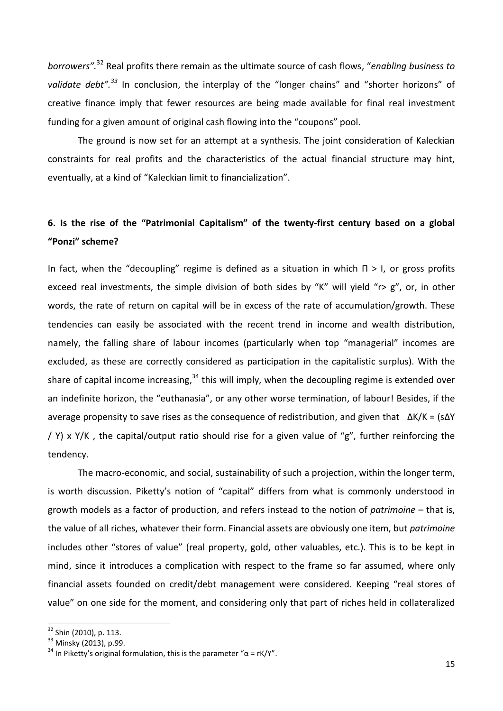*borrowers".*<sup>32</sup> Real profits there remain as the ultimate source of cash flows, "*enabling business to validate debt".<sup>33</sup>* In conclusion, the interplay of the "longer chains" and "shorter horizons" of creative finance imply that fewer resources are being made available for final real investment funding for a given amount of original cash flowing into the "coupons" pool.

The ground is now set for an attempt at a synthesis. The joint consideration of Kaleckian constraints for real profits and the characteristics of the actual financial structure may hint, eventually, at a kind of "Kaleckian limit to financialization".

## **6. Is the rise of the "Patrimonial Capitalism" of the twenty-first century based on a global "Ponzi" scheme?**

In fact, when the "decoupling" regime is defined as a situation in which  $\Pi > I$ , or gross profits exceed real investments, the simple division of both sides by "K" will yield "r> g", or, in other words, the rate of return on capital will be in excess of the rate of accumulation/growth. These tendencies can easily be associated with the recent trend in income and wealth distribution, namely, the falling share of labour incomes (particularly when top "managerial" incomes are excluded, as these are correctly considered as participation in the capitalistic surplus). With the share of capital income increasing,<sup>34</sup> this will imply, when the decoupling regime is extended over an indefinite horizon, the "euthanasia", or any other worse termination, of labour! Besides, if the average propensity to save rises as the consequence of redistribution, and given that  $\Delta K/K = (s\Delta Y)$ / Y) x Y/K, the capital/output ratio should rise for a given value of "g", further reinforcing the tendency.

The macro-economic, and social, sustainability of such a projection, within the longer term, is worth discussion. Piketty's notion of "capital" differs from what is commonly understood in growth models as a factor of production, and refers instead to the notion of *patrimoine* – that is, the value of all riches, whatever their form. Financial assets are obviously one item, but *patrimoine* includes other "stores of value" (real property, gold, other valuables, etc.). This is to be kept in mind, since it introduces a complication with respect to the frame so far assumed, where only financial assets founded on credit/debt management were considered. Keeping "real stores of value" on one side for the moment, and considering only that part of riches held in collateralized

<sup>&</sup>lt;sup>32</sup> Shin (2010), p. 113.

<sup>33</sup> Minsky (2013), p.99.

<sup>&</sup>lt;sup>34</sup> In Piketty's original formulation, this is the parameter " $\alpha$  = rK/Y".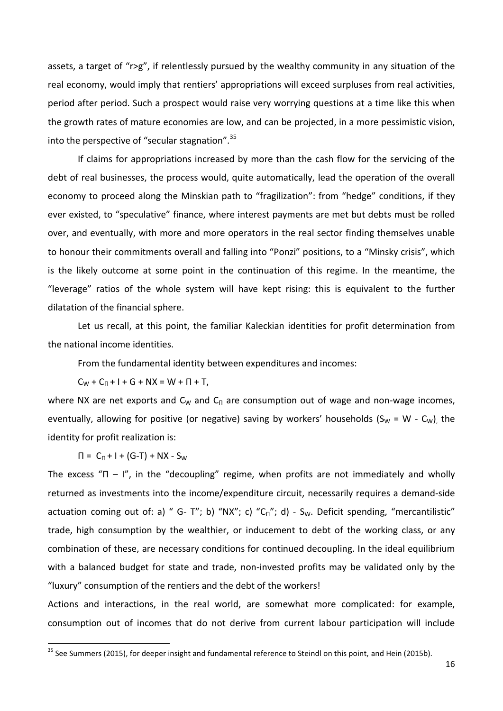assets, a target of "r>g", if relentlessly pursued by the wealthy community in any situation of the real economy, would imply that rentiers' appropriations will exceed surpluses from real activities, period after period. Such a prospect would raise very worrying questions at a time like this when the growth rates of mature economies are low, and can be projected, in a more pessimistic vision, into the perspective of "secular stagnation".<sup>35</sup>

If claims for appropriations increased by more than the cash flow for the servicing of the debt of real businesses, the process would, quite automatically, lead the operation of the overall economy to proceed along the Minskian path to "fragilization": from "hedge" conditions, if they ever existed, to "speculative" finance, where interest payments are met but debts must be rolled over, and eventually, with more and more operators in the real sector finding themselves unable to honour their commitments overall and falling into "Ponzi" positions, to a "Minsky crisis", which is the likely outcome at some point in the continuation of this regime. In the meantime, the "leverage" ratios of the whole system will have kept rising: this is equivalent to the further dilatation of the financial sphere.

Let us recall, at this point, the familiar Kaleckian identities for profit determination from the national income identities.

From the fundamental identity between expenditures and incomes:

 $C_W + C_1 + 1 + G + NX = W + \Pi + T$ ,

where NX are net exports and  $C_W$  and  $C_\Pi$  are consumption out of wage and non-wage incomes, eventually, allowing for positive (or negative) saving by workers' households (S<sub>W</sub> = W - C<sub>W</sub>), the identity for profit realization is:

 $\Pi = C_1 + I + (G-T) + NX - S_W$ 

**.** 

The excess "Π – I", in the "decoupling" regime, when profits are not immediately and wholly returned as investments into the income/expenditure circuit, necessarily requires a demand-side actuation coming out of: a) " G- T"; b) "NX"; c) "C $_{\Pi}$ "; d) - S<sub>W</sub>. Deficit spending, "mercantilistic" trade, high consumption by the wealthier, or inducement to debt of the working class, or any combination of these, are necessary conditions for continued decoupling. In the ideal equilibrium with a balanced budget for state and trade, non-invested profits may be validated only by the "luxury" consumption of the rentiers and the debt of the workers!

Actions and interactions, in the real world, are somewhat more complicated: for example, consumption out of incomes that do not derive from current labour participation will include

<sup>&</sup>lt;sup>35</sup> See Summers (2015), for deeper insight and fundamental reference to Steindl on this point, and Hein (2015b).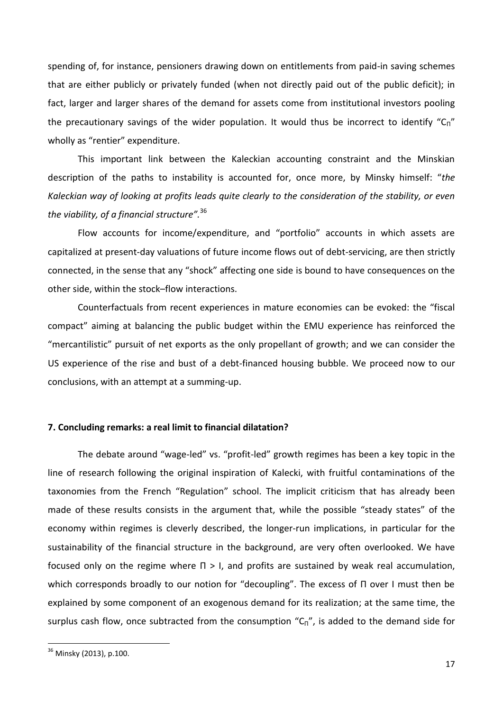spending of, for instance, pensioners drawing down on entitlements from paid-in saving schemes that are either publicly or privately funded (when not directly paid out of the public deficit); in fact, larger and larger shares of the demand for assets come from institutional investors pooling the precautionary savings of the wider population. It would thus be incorrect to identify " $C_{\Pi}$ " wholly as "rentier" expenditure.

This important link between the Kaleckian accounting constraint and the Minskian description of the paths to instability is accounted for, once more, by Minsky himself: "*the Kaleckian way of looking at profits leads quite clearly to the consideration of the stability, or even the viability, of a financial structure".*<sup>36</sup>

Flow accounts for income/expenditure, and "portfolio" accounts in which assets are capitalized at present-day valuations of future income flows out of debt-servicing, are then strictly connected, in the sense that any "shock" affecting one side is bound to have consequences on the other side, within the stock–flow interactions.

Counterfactuals from recent experiences in mature economies can be evoked: the "fiscal compact" aiming at balancing the public budget within the EMU experience has reinforced the "mercantilistic" pursuit of net exports as the only propellant of growth; and we can consider the US experience of the rise and bust of a debt-financed housing bubble. We proceed now to our conclusions, with an attempt at a summing-up.

#### **7. Concluding remarks: a real limit to financial dilatation?**

The debate around "wage-led" vs. "profit-led" growth regimes has been a key topic in the line of research following the original inspiration of Kalecki, with fruitful contaminations of the taxonomies from the French "Regulation" school. The implicit criticism that has already been made of these results consists in the argument that, while the possible "steady states" of the economy within regimes is cleverly described, the longer-run implications, in particular for the sustainability of the financial structure in the background, are very often overlooked. We have focused only on the regime where Π > I, and profits are sustained by weak real accumulation, which corresponds broadly to our notion for "decoupling". The excess of Π over I must then be explained by some component of an exogenous demand for its realization; at the same time, the surplus cash flow, once subtracted from the consumption " $C_{\Pi}$ ", is added to the demand side for

<sup>&</sup>lt;sup>36</sup> Minsky (2013), p.100.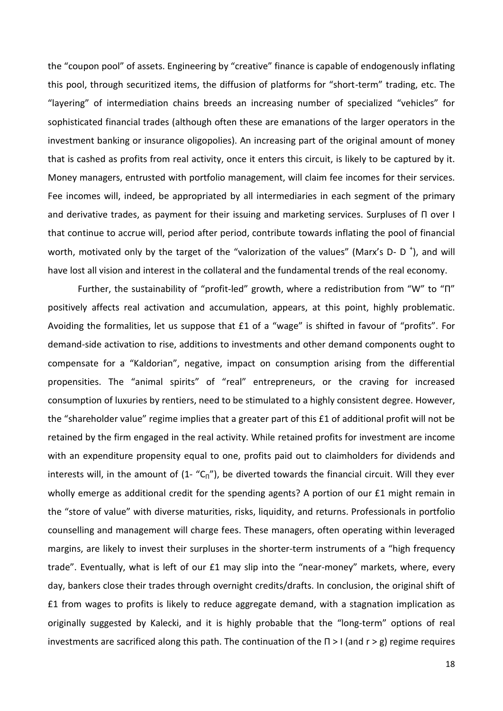the "coupon pool" of assets. Engineering by "creative" finance is capable of endogenously inflating this pool, through securitized items, the diffusion of platforms for "short-term" trading, etc. The "layering" of intermediation chains breeds an increasing number of specialized "vehicles" for sophisticated financial trades (although often these are emanations of the larger operators in the investment banking or insurance oligopolies). An increasing part of the original amount of money that is cashed as profits from real activity, once it enters this circuit, is likely to be captured by it. Money managers, entrusted with portfolio management, will claim fee incomes for their services. Fee incomes will, indeed, be appropriated by all intermediaries in each segment of the primary and derivative trades, as payment for their issuing and marketing services. Surpluses of Π over I that continue to accrue will, period after period, contribute towards inflating the pool of financial worth, motivated only by the target of the "valorization of the values" (Marx's D- D<sup>+</sup>), and will have lost all vision and interest in the collateral and the fundamental trends of the real economy.

Further, the sustainability of "profit-led" growth, where a redistribution from "W" to "Π" positively affects real activation and accumulation, appears, at this point, highly problematic. Avoiding the formalities, let us suppose that £1 of a "wage" is shifted in favour of "profits". For demand-side activation to rise, additions to investments and other demand components ought to compensate for a "Kaldorian", negative, impact on consumption arising from the differential propensities. The "animal spirits" of "real" entrepreneurs, or the craving for increased consumption of luxuries by rentiers, need to be stimulated to a highly consistent degree. However, the "shareholder value" regime implies that a greater part of this £1 of additional profit will not be retained by the firm engaged in the real activity. While retained profits for investment are income with an expenditure propensity equal to one, profits paid out to claimholders for dividends and interests will, in the amount of  $(1 - {}^{\prime\prime}C_{\Pi} )$ , be diverted towards the financial circuit. Will they ever wholly emerge as additional credit for the spending agents? A portion of our £1 might remain in the "store of value" with diverse maturities, risks, liquidity, and returns. Professionals in portfolio counselling and management will charge fees. These managers, often operating within leveraged margins, are likely to invest their surpluses in the shorter-term instruments of a "high frequency trade". Eventually, what is left of our £1 may slip into the "near-money" markets, where, every day, bankers close their trades through overnight credits/drafts. In conclusion, the original shift of £1 from wages to profits is likely to reduce aggregate demand, with a stagnation implication as originally suggested by Kalecki, and it is highly probable that the "long-term" options of real investments are sacrificed along this path. The continuation of the  $\Pi > I$  (and  $r > g$ ) regime requires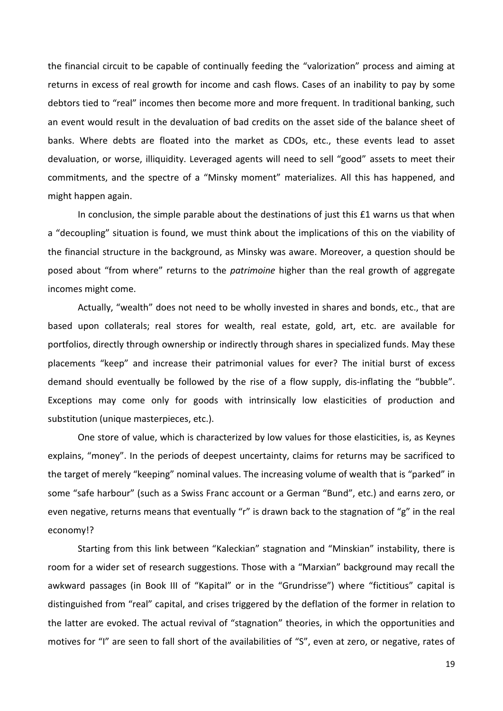the financial circuit to be capable of continually feeding the "valorization" process and aiming at returns in excess of real growth for income and cash flows. Cases of an inability to pay by some debtors tied to "real" incomes then become more and more frequent. In traditional banking, such an event would result in the devaluation of bad credits on the asset side of the balance sheet of banks. Where debts are floated into the market as CDOs, etc., these events lead to asset devaluation, or worse, illiquidity. Leveraged agents will need to sell "good" assets to meet their commitments, and the spectre of a "Minsky moment" materializes. All this has happened, and might happen again.

In conclusion, the simple parable about the destinations of just this £1 warns us that when a "decoupling" situation is found, we must think about the implications of this on the viability of the financial structure in the background, as Minsky was aware. Moreover, a question should be posed about "from where" returns to the *patrimoine* higher than the real growth of aggregate incomes might come.

Actually, "wealth" does not need to be wholly invested in shares and bonds, etc., that are based upon collaterals; real stores for wealth, real estate, gold, art, etc. are available for portfolios, directly through ownership or indirectly through shares in specialized funds. May these placements "keep" and increase their patrimonial values for ever? The initial burst of excess demand should eventually be followed by the rise of a flow supply, dis-inflating the "bubble". Exceptions may come only for goods with intrinsically low elasticities of production and substitution (unique masterpieces, etc.).

One store of value, which is characterized by low values for those elasticities, is, as Keynes explains, "money". In the periods of deepest uncertainty, claims for returns may be sacrificed to the target of merely "keeping" nominal values. The increasing volume of wealth that is "parked" in some "safe harbour" (such as a Swiss Franc account or a German "Bund", etc.) and earns zero, or even negative, returns means that eventually "r" is drawn back to the stagnation of "g" in the real economy!?

Starting from this link between "Kaleckian" stagnation and "Minskian" instability, there is room for a wider set of research suggestions. Those with a "Marxian" background may recall the awkward passages (in Book III of "Kapital" or in the "Grundrisse") where "fictitious" capital is distinguished from "real" capital, and crises triggered by the deflation of the former in relation to the latter are evoked. The actual revival of "stagnation" theories, in which the opportunities and motives for "I" are seen to fall short of the availabilities of "S", even at zero, or negative, rates of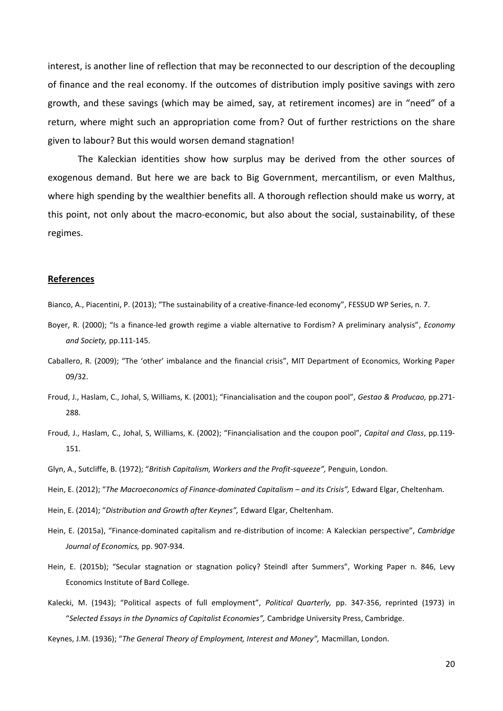interest, is another line of reflection that may be reconnected to our description of the decoupling of finance and the real economy. If the outcomes of distribution imply positive savings with zero growth, and these savings (which may be aimed, say, at retirement incomes) are in "need" of a return, where might such an appropriation come from? Out of further restrictions on the share given to labour? But this would worsen demand stagnation!

The Kaleckian identities show how surplus may be derived from the other sources of exogenous demand. But here we are back to Big Government, mercantilism, or even Malthus, where high spending by the wealthier benefits all. A thorough reflection should make us worry, at this point, not only about the macro-economic, but also about the social, sustainability, of these regimes.

#### **References**

- Bianco, A., Piacentini, P. (2013); "The sustainability of a creative-finance-led economy", FESSUD WP Series, n. 7.
- Boyer, R. (2000); "Is a finance-led growth regime a viable alternative to Fordism? A preliminary analysis", *Economy and Society,* pp.111-145.
- Caballero, R. (2009); "The 'other' imbalance and the financial crisis", MIT Department of Economics, Working Paper 09/32.
- Froud, J., Haslam, C., Johal, S, Williams, K. (2001); "Financialisation and the coupon pool", *Gestao & Producao,* pp.271- 288.
- Froud, J., Haslam, C., Johal, S, Williams, K. (2002); "Financialisation and the coupon pool", *Capital and Class*, pp*.*119- 151.
- Glyn, A., Sutcliffe, B. (1972); "*British Capitalism, Workers and the Profit-squeeze",* Penguin, London.

- Hein, E. (2014); "*Distribution and Growth after Keynes",* Edward Elgar, Cheltenham.
- Hein, E. (2015a), "Finance-dominated capitalism and re-distribution of income: A Kaleckian perspective", *Cambridge Journal of Economics,* pp. 907-934.
- Hein, E. (2015b); "Secular stagnation or stagnation policy? Steindl after Summers", Working Paper n. 846, Levy Economics Institute of Bard College.
- Kalecki, M. (1943); "Political aspects of full employment", *Political Quarterly,* pp. 347-356, reprinted (1973) in "*Selected Essays in the Dynamics of Capitalist Economies",* Cambridge University Press, Cambridge.

Keynes, J.M. (1936); "*The General Theory of Employment, Interest and Money",* Macmillan, London.

Hein, E. (2012); "*The Macroeconomics of Finance-dominated Capitalism – and its Crisis",* Edward Elgar, Cheltenham.